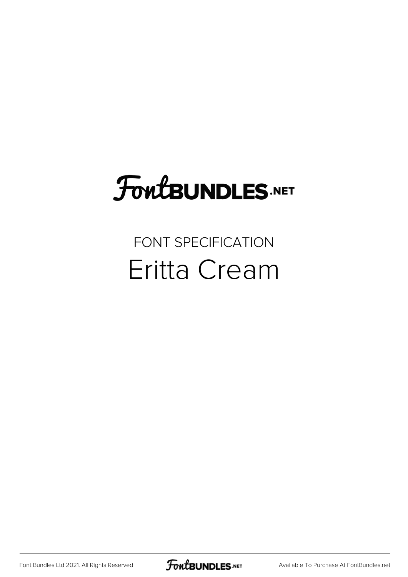## **FoutBUNDLES.NET**

## FONT SPECIFICATION Eritta Cream

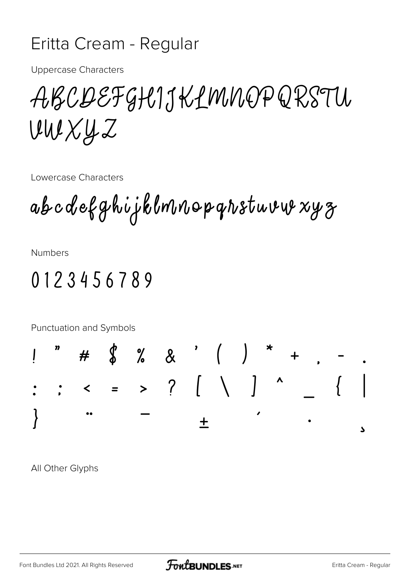## Eritta Cream - Regular

**Uppercase Characters** 

ABCDEFGHIJKLMNOPQRSTU  $UWXYZ$ 

Lowercase Characters

ab c d efghijklmnop grstuvur xyz

**Numbers** 

## 0123456789



All Other Glyphs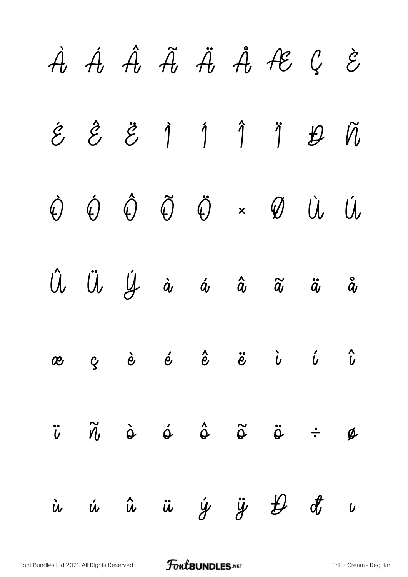